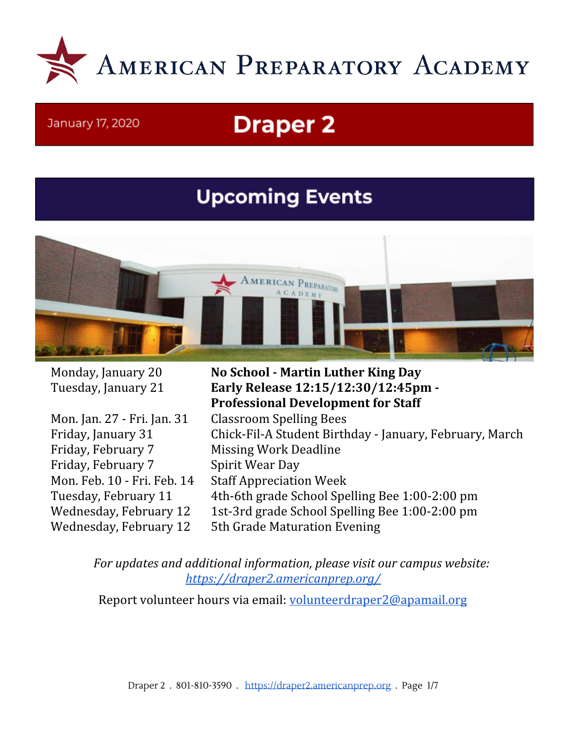

#### January 17, 2020

# **Draper 2**

# **Upcoming Events**



Mon. Jan. 27 - Fri. Jan. 31 Classroom Spelling Bees Friday, February 7 Missing Work Deadline Friday, February 7 Spirit Wear Day Mon. Feb. 10 - Fri. Feb. 14 Staff Appreciation Week

Monday, January 20 **No School - Martin Luther King Day** Tuesday, January 21 **Early Release 12:15/12:30/12:45pm - Professional Development for Staff** Friday, January 31 Chick-Fil-A Student Birthday - January, February, March Tuesday, February 11 4th-6th grade School Spelling Bee 1:00-2:00 pm Wednesday, February 12 1st-3rd grade School Spelling Bee 1:00-2:00 pm Wednesday, February 12 5th Grade Maturation Evening

*For updates and additional information, please visit our campus website: <https://draper2.americanprep.org/>*

Report volunteer hours via email: [volunteerdraper2@apamail.org](mailto:volunteerdraper2@apamail.org)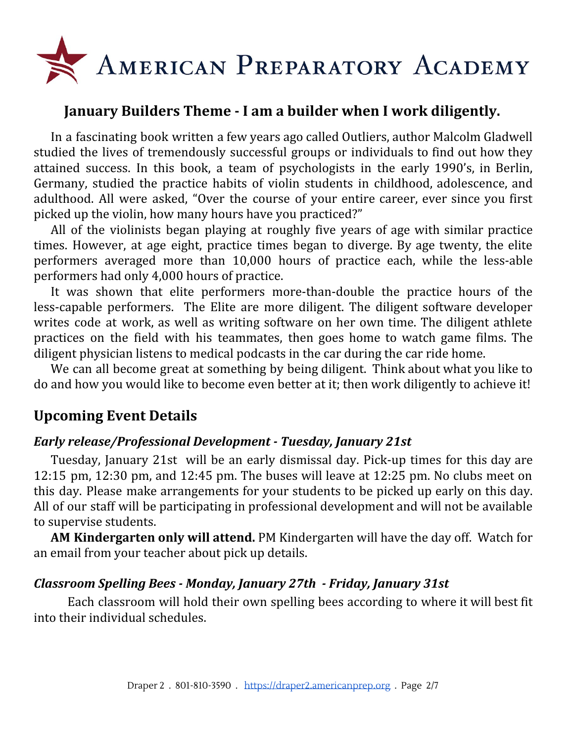

# **January Builders Theme - I am a builder when I work diligently.**

In a fascinating book written a few years ago called Outliers, author Malcolm Gladwell studied the lives of tremendously successful groups or individuals to find out how they attained success. In this book, a team of psychologists in the early 1990's, in Berlin, Germany, studied the practice habits of violin students in childhood, adolescence, and adulthood. All were asked, "Over the course of your entire career, ever since you first picked up the violin, how many hours have you practiced?"

All of the violinists began playing at roughly five years of age with similar practice times. However, at age eight, practice times began to diverge. By age twenty, the elite performers averaged more than 10,000 hours of practice each, while the less-able performers had only 4,000 hours of practice.

It was shown that elite performers more-than-double the practice hours of the less-capable performers. The Elite are more diligent. The diligent software developer writes code at work, as well as writing software on her own time. The diligent athlete practices on the field with his teammates, then goes home to watch game films. The diligent physician listens to medical podcasts in the car during the car ride home.

We can all become great at something by being diligent. Think about what you like to do and how you would like to become even better at it; then work diligently to achieve it!

# **Upcoming Event Details**

## *Early release/Professional Development - Tuesday, January 21st*

Tuesday, January 21st will be an early dismissal day. Pick-up times for this day are 12:15 pm, 12:30 pm, and 12:45 pm. The buses will leave at 12:25 pm. No clubs meet on this day. Please make arrangements for your students to be picked up early on this day. All of our staff will be participating in professional development and will not be available to supervise students.

**AM Kindergarten only will attend.** PM Kindergarten will have the day off. Watch for an email from your teacher about pick up details.

#### *Classroom Spelling Bees - Monday, January 27th - Friday, January 31st*

Each classroom will hold their own spelling bees according to where it will best fit into their individual schedules.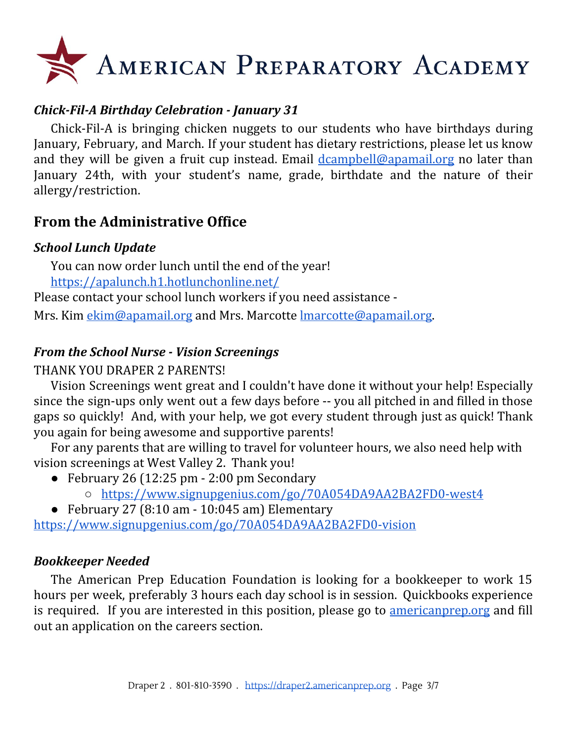# AMERICAN PREPARATORY ACADEMY

# *Chick-Fil-A Birthday Celebration - January 31*

Chick-Fil-A is bringing chicken nuggets to our students who have birthdays during January, February, and March. If your student has dietary restrictions, please let us know and they will be given a fruit cup instead. Email [dcampbell@apamail.org](mailto:dcampbell@apamail.org) no later than January 24th, with your student's name, grade, birthdate and the nature of their allergy/restriction.

# **From the Administrative Office**

## *School Lunch Update*

You can now order lunch until the end of the year! <https://apalunch.h1.hotlunchonline.net/>

Please contact your school lunch workers if you need assistance -

Mrs. Kim [ekim@apamail.org](mailto:ekim@apamail.org) and Mrs. Marcotte Imarcotte@apamail.org.

# *From the School Nurse - Vision Screenings*

# THANK YOU DRAPER 2 PARENTS!

Vision Screenings went great and I couldn't have done it without your help! Especially since the sign-ups only went out a few days before -- you all pitched in and filled in those gaps so quickly! And, with your help, we got every student through just as quick! Thank you again for being awesome and supportive parents!

For any parents that are willing to travel for volunteer hours, we also need help with vision screenings at West Valley 2. Thank you!

- February 26 (12:25 pm 2:00 pm Secondary
	- <https://www.signupgenius.com/go/70A054DA9AA2BA2FD0-west4>
- $\bullet$  February 27 (8:10 am 10:045 am) Elementary

<https://www.signupgenius.com/go/70A054DA9AA2BA2FD0-vision>

## *Bookkeeper Needed*

The American Prep Education Foundation is looking for a bookkeeper to work 15 hours per week, preferably 3 hours each day school is in session. Quickbooks experience is required. If you are interested in this position, please go to [americanprep.org](http://americanprep.org/) and fill out an application on the careers section.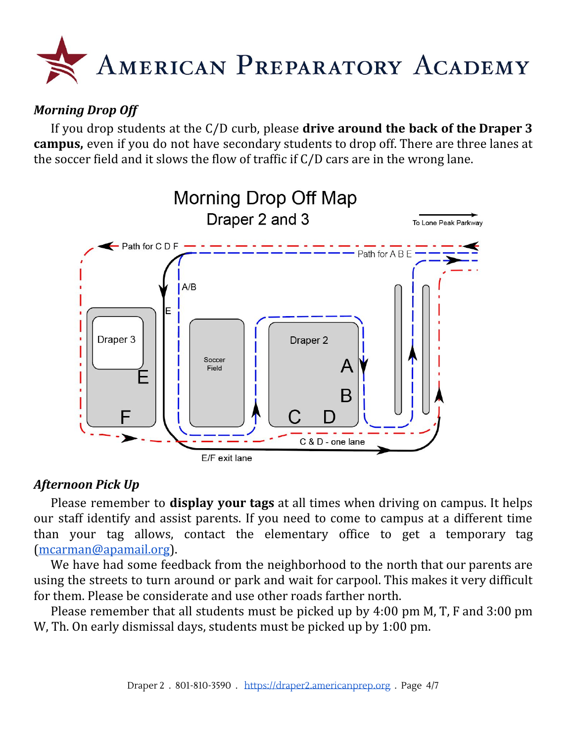

# *Morning Drop Off*

If you drop students at the C/D curb, please **drive around the back of the Draper 3 campus,** even if you do not have secondary students to drop off. There are three lanes at the soccer field and it slows the flow of traffic if C/D cars are in the wrong lane.



## *Afternoon Pick Up*

Please remember to **display your tags** at all times when driving on campus. It helps our staff identify and assist parents. If you need to come to campus at a different time than your tag allows, contact the elementary office to get a temporary tag [\(mcarman@apamail.org](mailto:mcarman@apamail.org)).

We have had some feedback from the neighborhood to the north that our parents are using the streets to turn around or park and wait for carpool. This makes it very difficult for them. Please be considerate and use other roads farther north.

Please remember that all students must be picked up by 4:00 pm M, T, F and 3:00 pm W, Th. On early dismissal days, students must be picked up by 1:00 pm.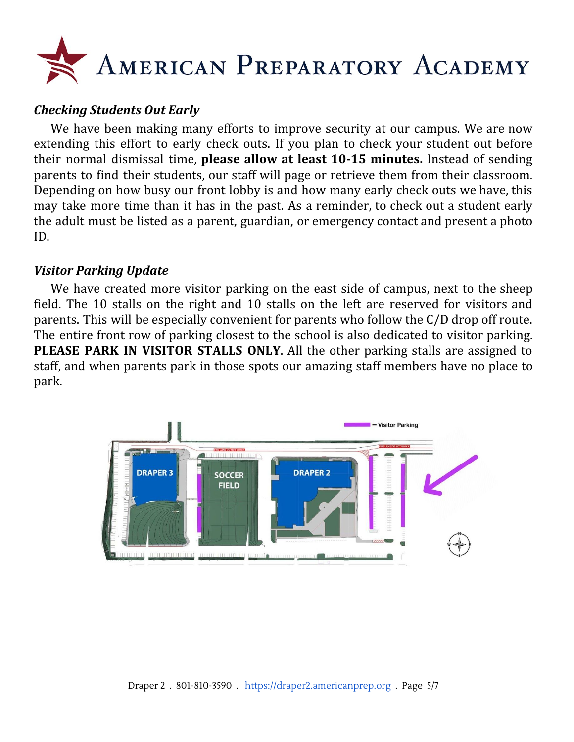

## *Checking Students Out Early*

We have been making many efforts to improve security at our campus. We are now extending this effort to early check outs. If you plan to check your student out before their normal dismissal time, **please allow at least 10-15 minutes.** Instead of sending parents to find their students, our staff will page or retrieve them from their classroom. Depending on how busy our front lobby is and how many early check outs we have, this may take more time than it has in the past. As a reminder, to check out a student early the adult must be listed as a parent, guardian, or emergency contact and present a photo ID.

#### *Visitor Parking Update*

We have created more visitor parking on the east side of campus, next to the sheep field. The 10 stalls on the right and 10 stalls on the left are reserved for visitors and parents. This will be especially convenient for parents who follow the C/D drop off route. The entire front row of parking closest to the school is also dedicated to visitor parking. **PLEASE PARK IN VISITOR STALLS ONLY**. All the other parking stalls are assigned to staff, and when parents park in those spots our amazing staff members have no place to park.

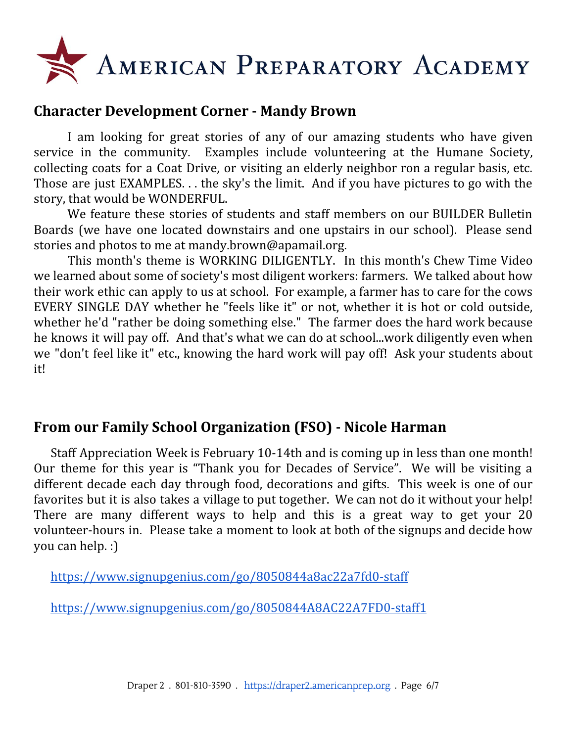

# **Character Development Corner - Mandy Brown**

I am looking for great stories of any of our amazing students who have given service in the community. Examples include volunteering at the Humane Society, collecting coats for a Coat Drive, or visiting an elderly neighbor ron a regular basis, etc. Those are just EXAMPLES. . . the sky's the limit. And if you have pictures to go with the story, that would be WONDERFUL.

We feature these stories of students and staff members on our BUILDER Bulletin Boards (we have one located downstairs and one upstairs in our school). Please send stories and photos to me at mandy.brown@apamail.org.

This month's theme is WORKING DILIGENTLY. In this month's Chew Time Video we learned about some of society's most diligent workers: farmers. We talked about how their work ethic can apply to us at school. For example, a farmer has to care for the cows EVERY SINGLE DAY whether he "feels like it" or not, whether it is hot or cold outside, whether he'd "rather be doing something else." The farmer does the hard work because he knows it will pay off. And that's what we can do at school...work diligently even when we "don't feel like it" etc., knowing the hard work will pay off! Ask your students about it!

# **From our Family School Organization (FSO) - Nicole Harman**

Staff Appreciation Week is February 10-14th and is coming up in less than one month! Our theme for this year is "Thank you for Decades of Service". We will be visiting a different decade each day through food, decorations and gifts. This week is one of our favorites but it is also takes a village to put together. We can not do it without your help! There are many different ways to help and this is a great way to get your 20 volunteer-hours in. Please take a moment to look at both of the signups and decide how you can help. :)

<https://www.signupgenius.com/go/8050844a8ac22a7fd0-staff>

<https://www.signupgenius.com/go/8050844A8AC22A7FD0-staff1>